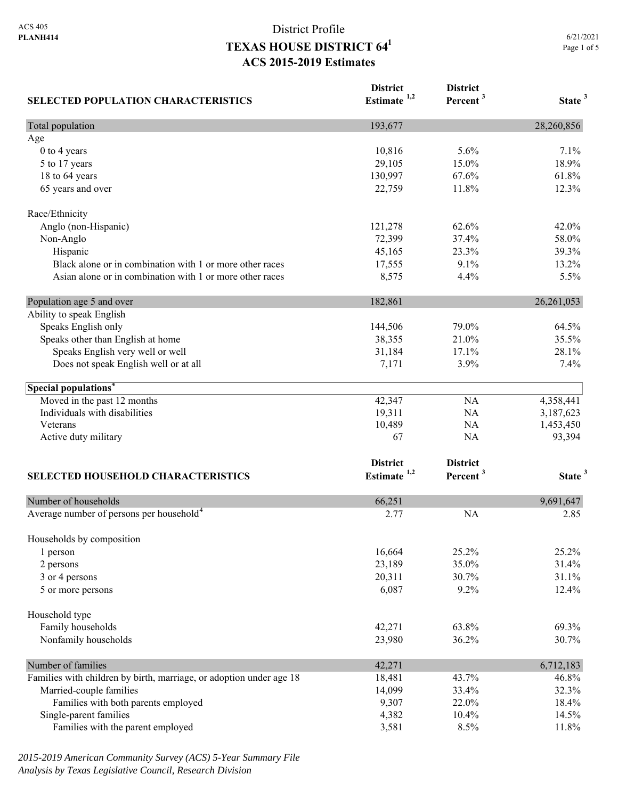| <b>SELECTED POPULATION CHARACTERISTICS</b>                          | <b>District</b><br>Estimate <sup>1,2</sup> | <b>District</b><br>Percent <sup>3</sup> | State <sup>3</sup> |
|---------------------------------------------------------------------|--------------------------------------------|-----------------------------------------|--------------------|
| Total population                                                    | 193,677                                    |                                         | 28,260,856         |
| Age                                                                 |                                            |                                         |                    |
| 0 to 4 years                                                        | 10,816                                     | 5.6%                                    | 7.1%               |
| 5 to 17 years                                                       | 29,105                                     | 15.0%                                   | 18.9%              |
| 18 to 64 years                                                      | 130,997                                    | 67.6%                                   | 61.8%              |
| 65 years and over                                                   | 22,759                                     | 11.8%                                   | 12.3%              |
| Race/Ethnicity                                                      |                                            |                                         |                    |
| Anglo (non-Hispanic)                                                | 121,278                                    | 62.6%                                   | 42.0%              |
| Non-Anglo                                                           | 72,399                                     | 37.4%                                   | 58.0%              |
| Hispanic                                                            | 45,165                                     | 23.3%                                   | 39.3%              |
| Black alone or in combination with 1 or more other races            | 17,555                                     | 9.1%                                    | 13.2%              |
| Asian alone or in combination with 1 or more other races            | 8,575                                      | 4.4%                                    | 5.5%               |
| Population age 5 and over                                           | 182,861                                    |                                         | 26, 261, 053       |
| Ability to speak English                                            |                                            |                                         |                    |
| Speaks English only                                                 | 144,506                                    | 79.0%                                   | 64.5%              |
| Speaks other than English at home                                   | 38,355                                     | 21.0%                                   | 35.5%              |
| Speaks English very well or well                                    | 31,184                                     | 17.1%                                   | 28.1%              |
| Does not speak English well or at all                               | 7,171                                      | 3.9%                                    | 7.4%               |
| Special populations <sup>4</sup>                                    |                                            |                                         |                    |
| Moved in the past 12 months                                         | 42,347                                     | NA                                      | 4,358,441          |
| Individuals with disabilities                                       | 19,311                                     | NA                                      | 3,187,623          |
| Veterans                                                            | 10,489                                     | NA                                      | 1,453,450          |
| Active duty military                                                | 67                                         | NA                                      | 93,394             |
|                                                                     | <b>District</b>                            | <b>District</b>                         |                    |
| SELECTED HOUSEHOLD CHARACTERISTICS                                  | Estimate <sup>1,2</sup>                    | Percent <sup>3</sup>                    | State <sup>3</sup> |
| Number of households                                                | 66,251                                     |                                         | 9,691,647          |
| Average number of persons per household <sup>4</sup>                | 2.77                                       | <b>NA</b>                               | 2.85               |
|                                                                     |                                            |                                         |                    |
| Households by composition<br>1 person                               | 16,664                                     | 25.2%                                   | 25.2%              |
| 2 persons                                                           | 23,189                                     | 35.0%                                   | 31.4%              |
| 3 or 4 persons                                                      | 20,311                                     | 30.7%                                   | 31.1%              |
| 5 or more persons                                                   | 6,087                                      | 9.2%                                    | 12.4%              |
| Household type                                                      |                                            |                                         |                    |
| Family households                                                   | 42,271                                     | 63.8%                                   | 69.3%              |
| Nonfamily households                                                | 23,980                                     | 36.2%                                   | 30.7%              |
|                                                                     |                                            |                                         |                    |
| Number of families                                                  | 42,271                                     |                                         | 6,712,183          |
| Families with children by birth, marriage, or adoption under age 18 | 18,481                                     | 43.7%                                   | 46.8%              |
| Married-couple families                                             | 14,099                                     | 33.4%                                   | 32.3%              |
| Families with both parents employed                                 | 9,307                                      | 22.0%                                   | 18.4%              |
| Single-parent families                                              | 4,382                                      | 10.4%                                   | 14.5%              |
| Families with the parent employed                                   | 3,581                                      | 8.5%                                    | 11.8%              |

*2015-2019 American Community Survey (ACS) 5-Year Summary File Analysis by Texas Legislative Council, Research Division*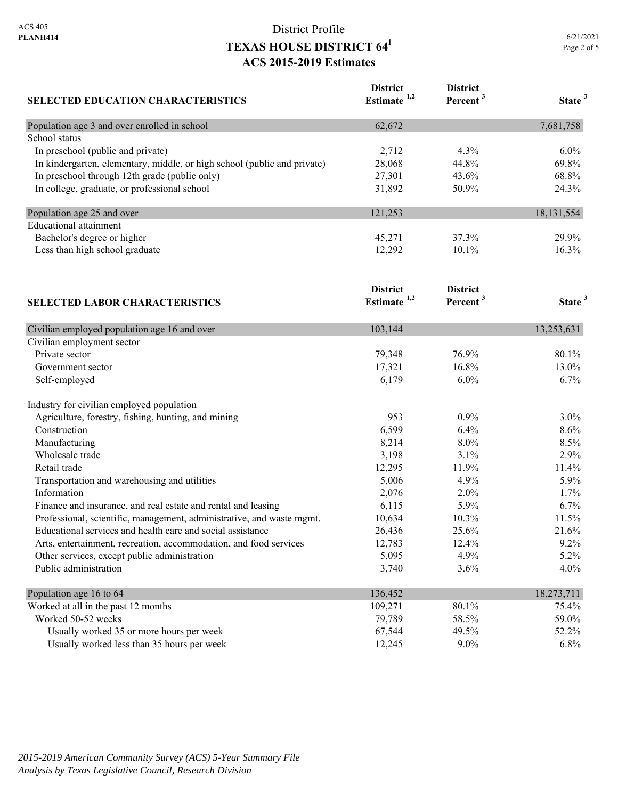| <b>SELECTED EDUCATION CHARACTERISTICS</b>                                | <b>District</b><br>Estimate <sup>1,2</sup> | <b>District</b><br>Percent <sup>3</sup> | State <sup>3</sup> |
|--------------------------------------------------------------------------|--------------------------------------------|-----------------------------------------|--------------------|
| Population age 3 and over enrolled in school                             | 62,672                                     |                                         | 7,681,758          |
| School status                                                            |                                            |                                         |                    |
| In preschool (public and private)                                        | 2,712                                      | 4.3%                                    | 6.0%               |
| In kindergarten, elementary, middle, or high school (public and private) | 28,068                                     | 44.8%                                   | 69.8%              |
| In preschool through 12th grade (public only)                            | 27,301                                     | 43.6%                                   | 68.8%              |
| In college, graduate, or professional school                             | 31,892                                     | 50.9%                                   | 24.3%              |
| Population age 25 and over                                               | 121,253                                    |                                         | 18, 131, 554       |
| <b>Educational attainment</b>                                            |                                            |                                         |                    |
| Bachelor's degree or higher                                              | 45,271                                     | 37.3%                                   | 29.9%              |
| Less than high school graduate                                           | 12,292                                     | 10.1%                                   | 16.3%              |
| <b>SELECTED LABOR CHARACTERISTICS</b>                                    | <b>District</b><br>Estimate $1,2$          | <b>District</b><br>Percent <sup>3</sup> | State <sup>3</sup> |
|                                                                          |                                            |                                         |                    |
| Civilian employed population age 16 and over                             | 103,144                                    |                                         | 13,253,631         |
| Civilian employment sector                                               |                                            |                                         |                    |
| Private sector                                                           | 79,348                                     | 76.9%                                   | 80.1%              |
| Government sector                                                        | 17,321                                     | 16.8%                                   | 13.0%              |
| Self-employed                                                            | 6,179                                      | 6.0%                                    | 6.7%               |
| Industry for civilian employed population                                |                                            |                                         |                    |
| Agriculture, forestry, fishing, hunting, and mining                      | 953                                        | 0.9%                                    | 3.0%               |
| Construction                                                             | 6,599                                      | 6.4%                                    | 8.6%               |
| Manufacturing                                                            | 8,214                                      | 8.0%                                    | 8.5%               |
| Wholesale trade                                                          | 3,198                                      | 3.1%                                    | 2.9%               |
| Retail trade                                                             | 12,295                                     | 11.9%                                   | 11.4%              |
| Transportation and warehousing and utilities                             | 5,006                                      | 4.9%                                    | 5.9%               |
| Information                                                              | 2,076                                      | 2.0%                                    | 1.7%               |
| Finance and insurance, and real estate and rental and leasing            | 6,115                                      | 5.9%                                    | 6.7%               |
| Professional, scientific, management, administrative, and waste mgmt.    | 10,634                                     | 10.3%                                   | 11.5%              |
| Educational services and health care and social assistance               | 26,436                                     | 25.6%                                   | 21.6%              |
| Arts, entertainment, recreation, accommodation, and food services        | 12,783                                     | 12.4%                                   | 9.2%               |
| Other services, except public administration                             | 5,095                                      | 4.9%                                    | 5.2%               |
| Public administration                                                    | 3,740                                      | 3.6%                                    | 4.0%               |
| Population age 16 to 64                                                  | 136,452                                    |                                         | 18,273,711         |
| Worked at all in the past 12 months                                      | 109,271                                    | 80.1%                                   | 75.4%              |
| Worked 50-52 weeks                                                       | 79,789                                     | 58.5%                                   | 59.0%              |
| Usually worked 35 or more hours per week                                 | 67,544                                     | 49.5%                                   | 52.2%              |
| Usually worked less than 35 hours per week                               | 12,245                                     | $9.0\%$                                 | 6.8%               |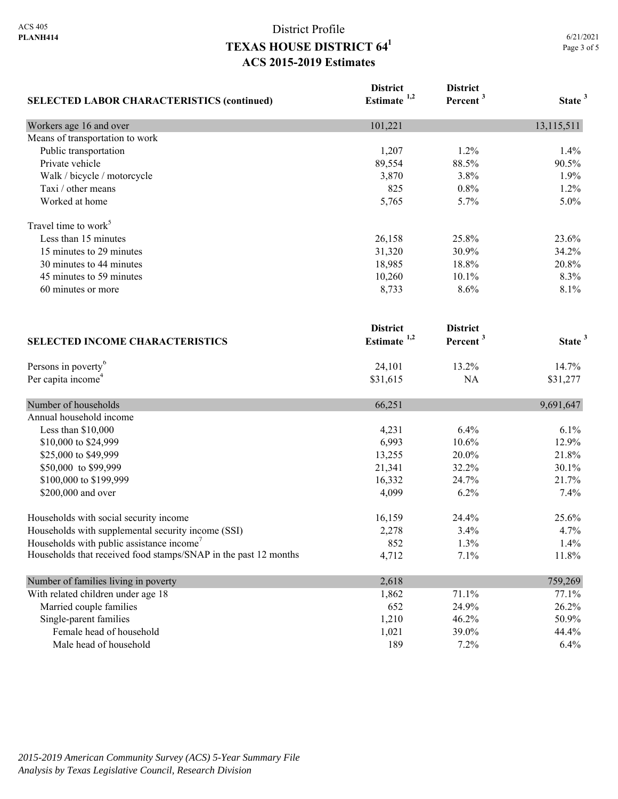| <b>SELECTED LABOR CHARACTERISTICS (continued)</b>               | <b>District</b><br>Estimate $1,2$ | <b>District</b><br>Percent <sup>3</sup> | State <sup>3</sup> |
|-----------------------------------------------------------------|-----------------------------------|-----------------------------------------|--------------------|
|                                                                 |                                   |                                         |                    |
| Workers age 16 and over<br>Means of transportation to work      | 101,221                           |                                         | 13,115,511         |
| Public transportation                                           |                                   | 1.2%                                    | 1.4%               |
| Private vehicle                                                 | 1,207<br>89,554                   | 88.5%                                   | 90.5%              |
| Walk / bicycle / motorcycle                                     | 3,870                             | 3.8%                                    | 1.9%               |
| Taxi / other means                                              | 825                               | 0.8%                                    | 1.2%               |
| Worked at home                                                  | 5,765                             | 5.7%                                    | 5.0%               |
|                                                                 |                                   |                                         |                    |
| Travel time to work <sup>5</sup>                                |                                   |                                         |                    |
| Less than 15 minutes                                            | 26,158                            | 25.8%                                   | 23.6%              |
| 15 minutes to 29 minutes                                        | 31,320                            | 30.9%                                   | 34.2%              |
| 30 minutes to 44 minutes                                        | 18,985                            | 18.8%                                   | 20.8%              |
| 45 minutes to 59 minutes                                        | 10,260                            | 10.1%                                   | 8.3%               |
| 60 minutes or more                                              | 8,733                             | 8.6%                                    | 8.1%               |
|                                                                 | <b>District</b>                   | <b>District</b>                         |                    |
| <b>SELECTED INCOME CHARACTERISTICS</b>                          | Estimate $1,2$                    | Percent <sup>3</sup>                    | State <sup>3</sup> |
| Persons in poverty <sup>6</sup>                                 | 24,101                            | 13.2%                                   | 14.7%              |
| Per capita income <sup>4</sup>                                  | \$31,615                          | NA                                      | \$31,277           |
| Number of households                                            | 66,251                            |                                         | 9,691,647          |
| Annual household income                                         |                                   |                                         |                    |
| Less than \$10,000                                              | 4,231                             | 6.4%                                    | 6.1%               |
| \$10,000 to \$24,999                                            | 6,993                             | 10.6%                                   | 12.9%              |
| \$25,000 to \$49,999                                            | 13,255                            | 20.0%                                   | 21.8%              |
| \$50,000 to \$99,999                                            | 21,341                            | 32.2%                                   | 30.1%              |
| \$100,000 to \$199,999                                          | 16,332                            | 24.7%                                   | 21.7%              |
| \$200,000 and over                                              | 4,099                             | 6.2%                                    | 7.4%               |
| Households with social security income                          | 16,159                            | 24.4%                                   | 25.6%              |
| Households with supplemental security income (SSI)              | 2,278                             | 3.4%                                    | 4.7%               |
| Households with public assistance income'                       | 852                               | 1.3%                                    | 1.4%               |
| Households that received food stamps/SNAP in the past 12 months | 4,712                             | 7.1%                                    | 11.8%              |
| Number of families living in poverty                            | 2,618                             |                                         | 759,269            |
| With related children under age 18                              | 1,862                             | 71.1%                                   | 77.1%              |
| Married couple families                                         | 652                               | 24.9%                                   | 26.2%              |
| Single-parent families                                          | 1,210                             | 46.2%                                   | 50.9%              |
| Female head of household                                        | 1,021                             | 39.0%                                   | 44.4%              |
| Male head of household                                          | 189                               | 7.2%                                    | 6.4%               |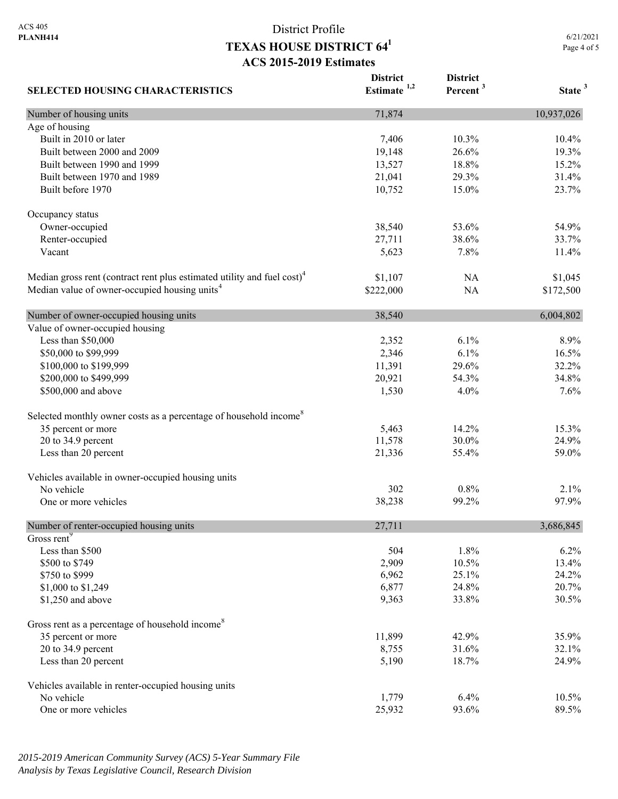6/21/2021 Page 4 of 5

| <b>SELECTED HOUSING CHARACTERISTICS</b>                                             | <b>District</b><br>Estimate $1,2$ | <b>District</b><br>Percent <sup>3</sup> | State <sup>3</sup> |
|-------------------------------------------------------------------------------------|-----------------------------------|-----------------------------------------|--------------------|
| Number of housing units                                                             | 71,874                            |                                         | 10,937,026         |
| Age of housing                                                                      |                                   |                                         |                    |
| Built in 2010 or later                                                              | 7,406                             | 10.3%                                   | 10.4%              |
| Built between 2000 and 2009                                                         | 19,148                            | 26.6%                                   | 19.3%              |
| Built between 1990 and 1999                                                         | 13,527                            | 18.8%                                   | 15.2%              |
| Built between 1970 and 1989                                                         | 21,041                            | 29.3%                                   | 31.4%              |
| Built before 1970                                                                   | 10,752                            | 15.0%                                   | 23.7%              |
| Occupancy status                                                                    |                                   |                                         |                    |
| Owner-occupied                                                                      | 38,540                            | 53.6%                                   | 54.9%              |
| Renter-occupied                                                                     | 27,711                            | 38.6%                                   | 33.7%              |
| Vacant                                                                              | 5,623                             | 7.8%                                    | 11.4%              |
| Median gross rent (contract rent plus estimated utility and fuel cost) <sup>4</sup> | \$1,107                           | NA                                      | \$1,045            |
| Median value of owner-occupied housing units <sup>4</sup>                           | \$222,000                         | NA                                      | \$172,500          |
| Number of owner-occupied housing units                                              | 38,540                            |                                         | 6,004,802          |
| Value of owner-occupied housing                                                     |                                   |                                         |                    |
| Less than \$50,000                                                                  | 2,352                             | 6.1%                                    | 8.9%               |
| \$50,000 to \$99,999                                                                | 2,346                             | 6.1%                                    | 16.5%              |
| \$100,000 to \$199,999                                                              | 11,391                            | 29.6%                                   | 32.2%              |
| \$200,000 to \$499,999                                                              | 20,921                            | 54.3%                                   | 34.8%              |
| \$500,000 and above                                                                 | 1,530                             | 4.0%                                    | 7.6%               |
| Selected monthly owner costs as a percentage of household income <sup>8</sup>       |                                   |                                         |                    |
| 35 percent or more                                                                  | 5,463                             | 14.2%                                   | 15.3%              |
| 20 to 34.9 percent                                                                  | 11,578                            | 30.0%                                   | 24.9%              |
| Less than 20 percent                                                                | 21,336                            | 55.4%                                   | 59.0%              |
| Vehicles available in owner-occupied housing units                                  |                                   |                                         |                    |
| No vehicle                                                                          | 302                               | 0.8%                                    | 2.1%               |
| One or more vehicles                                                                | 38,238                            | 99.2%                                   | 97.9%              |
| Number of renter-occupied housing units                                             | 27,711                            |                                         | 3,686,845          |
| Gross rent <sup>9</sup>                                                             |                                   |                                         |                    |
| Less than \$500                                                                     | 504                               | 1.8%                                    | 6.2%               |
| \$500 to \$749                                                                      | 2,909                             | 10.5%                                   | 13.4%              |
| \$750 to \$999                                                                      | 6,962                             | 25.1%                                   | 24.2%              |
| \$1,000 to \$1,249                                                                  | 6,877                             | 24.8%                                   | 20.7%              |
| \$1,250 and above                                                                   | 9,363                             | 33.8%                                   | 30.5%              |
| Gross rent as a percentage of household income <sup>8</sup>                         |                                   |                                         |                    |
| 35 percent or more                                                                  | 11,899                            | 42.9%                                   | 35.9%              |
| 20 to 34.9 percent                                                                  | 8,755                             | 31.6%                                   | 32.1%              |
| Less than 20 percent                                                                | 5,190                             | 18.7%                                   | 24.9%              |
| Vehicles available in renter-occupied housing units                                 |                                   |                                         |                    |
| No vehicle                                                                          | 1,779                             | 6.4%                                    | 10.5%              |
| One or more vehicles                                                                | 25,932                            | 93.6%                                   | 89.5%              |